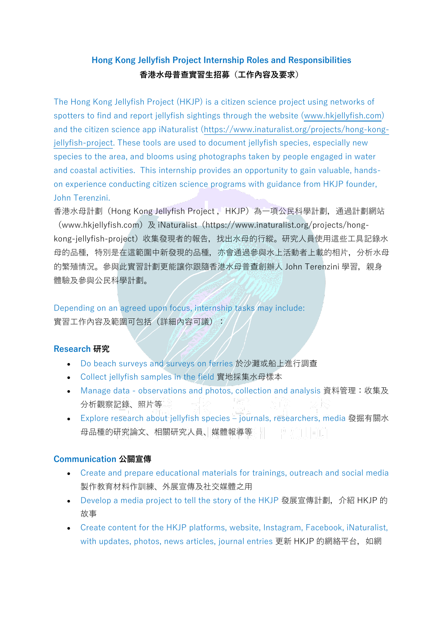# **Hong Kong Jellyfish Project Internship Roles and Responsibilities 香港水母普查實習生招募(工作內容及要求)**

The Hong Kong Jellyfish Project (HKJP) is a citizen science project using networks of spotters to find and report jellyfish sightings through the website [\(www.hkjellyfish.com\)](http://www.hkjellyfish.com/) and the citizen science app iNaturalist [\(https://www.inaturalist.org/projects/hong-kong](https://www.inaturalist.org/projects/hong-kong-jellyfish-project)[jellyfish-project.](https://www.inaturalist.org/projects/hong-kong-jellyfish-project) These tools are used to document jellyfish species, especially new species to the area, and blooms using photographs taken by people engaged in water and coastal activities. This internship provides an opportunity to gain valuable, handson experience conducting citizen science programs with guidance from HKJP founder, John Terenzini.

香港水母計劃 (Hong Kong Jellyfish Project, HKJP) 為一項公民科學計劃, 通過計劃網站 (www.hkjellyfish.com)及 iNaturalist(https://www.inaturalist.org/projects/hongkong-jellyfish-project)收集發現者的報告,找出水母的行縱。研究人員使用這些工具記錄水 母的品種,特別是在這範圍中新發現的品種,亦會通過參與水上活動者上載的相片,分析水母 的繁殖情況。參與此實習計劃更能讓你跟隨香港水母普查創辦人 John Terenzini 學習,親身 體驗及參與公民科學計劃。

Depending on an agreed upon focus, internship tasks may include: 實習工作內容及範圍可包括(詳細內容可議):

### **Research 研究**

- Do beach surveys and surveys on ferries 於沙灘或船上進行調查
- Collect jellyfish samples in the field 實地採集水母樣本
- Manage data observations and photos, collection and analysis 資料管理: 收集及 分析觀察記錄、照片等
- Explore research about jellyfish species journals, researchers, media 發掘有關水 母品種的研究論文、相關研究人員、媒體報導等

### **Communication 公關宣傳**

- Create and prepare educational materials for trainings, outreach and social media 製作教育材料作訓練、外展宣傳及社交媒體之用
- Develop a media project to tell the story of the HKJP 發展宣傳計劃,介紹 HKJP 的 故事
- Create content for the HKJP platforms, website, Instagram, Facebook, iNaturalist, with updates, photos, news articles, journal entries 更新 HKJP 的網絡平台, 如網